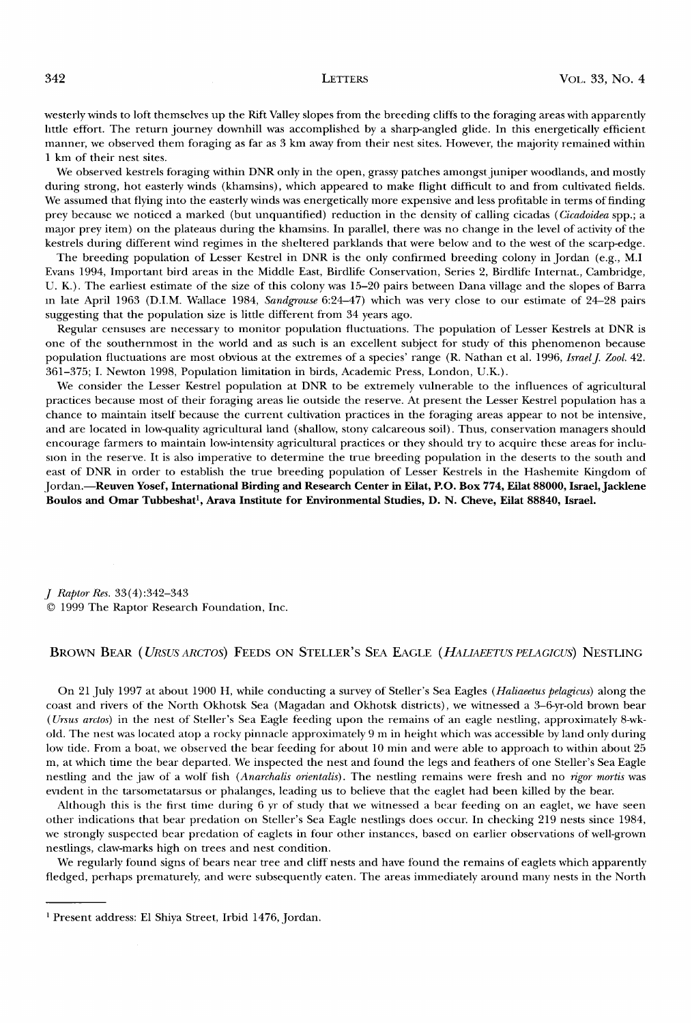**westerly winds to loft themselves up the Rift Valley slopes from the breeding cliffs to the foraging areas with apparently little effort. The return journey downhill was accomplished by a sharp-angled glide. In this energetically efficient manner, we observed them foraging as far as 3 km away from their nest sites. However, the majority remained within 1 km of their nest sites.** 

**We observed kestrels foraging within DNR only in the open, grassy patches amongst juniper woodlands, and mostly during strong, hot easterly winds (khamsins), which appeared to make flight difficult to and from cultivated fields. We assumed that flying into the easterly winds was energetically more expensive and less profitable in terms of finding**  prey because we noticed a marked (but unquantified) reduction in the density of calling cicadas (*Cicadoidea* spp.; a **major prey item) on the plateaus during the khamsins. In parallel, there was no change in the level of activity of the kestrels during different wind regimes in the sheltered parklands that were below and to the west of the scarp-edge.** 

**The breeding population of Lesser Kestrel in DNR is the only confirmed breeding colony in Jordan (e.g., M.I Evans 1994, Important bird areas in the Middle East, Birdlife Conservation, Series 2, Birdlife Internat., Cambridge, U. K.). The earliest estimate of the size of this colony was 15-20 pairs between Dana village and the slopes of Barra in late April 1963 (D.I.M. Wallace 1984, Sandgrouse 6:24-47) which was very close to our estimate of 24-28 pairs suggesting that the population size is little different from 34 years ago.** 

**Regular censuses are necessary to monitor population fluctuations. The population of Lesser Kestrels at DNR is one of the southernmost in the world and as such is an excellent subject for study of this phenomenon because**  population fluctuations are most obvious at the extremes of a species' range (R. Nathan et al. 1996, Israel J. Zool. 42. **361-375; I. Newton 1998, Population limitation in birds, Academic Press, London, U.K.).** 

**We consider the Lesser Kestrel population at DNR to be extremely vulnerable to the influences of agricultural practices because most of their foraging areas lie outside the reserve. At present the Lesser Kestrel population has a chance to maintain itself because the current cultivation practices in the foraging areas appear to not be intensive, and are located in low-quality agricultural land (shallow, stony calcareous soil). Thus, conservation managers should encourage farmers to maintain low-intensity agricultural practices or they should try to acquire these areas for inclusion in the reserve. It is also imperative to determine the true breeding population in the deserts to the south and**  east of DNR in order to establish the true breeding population of Lesser Kestrels in the Hashemite Kingdom of **Jordan.--Reuven Yosef, International Birding and Research Center in Eilat, P.O. Box 774, Eilat 88000, Israel, Jacklene**  Boulos and Omar Tubbeshat<sup>1</sup>, Arava Institute for Environmental Studies, D. N. Cheve, Eilat 88840, Israel.

**J Raptor Res. 33(4):342-343 ¸ 1999 The Raptor Research Foundation, Inc.** 

# BROWN BEAR (URSUS ARCTOS) FEEDS ON STELLER'S SEA EAGLE (HALIAEETUS PELAGICUS) NESTLING

**On 21 July 1997 at about 1900 H, while conducting a survey of Steller's Sea Eagles (Haliaeetus pelagicus) along the coast and rivers of the North Okhotsk Sea (Magadan and Okhotsk districts), we witnessed a 3-6-yr-old brown bear (Ursus arctos) in the nest of Steller's Sea Eagle feeding upon the remains of an eagle nestling, approximately 8-wkold. The nest was located atop a rocky pinnacle approximately 9 m in height which was accessible by land only during low tide. From a boat, we observed the bear feeding for about 10 min and were able to approach to within about 25 m, at which time the bear departed. We inspected the nest and found the legs and feathers of one Steller's Sea Eagle nestling and the jaw of a wolf fish (Anarchalis orientalis). The nestling remains were fresh and no rigor mortis was evident in the tarsometatarsus or phalanges, leading us to believe that the eaglet had been killed by the bear.** 

**Although this is the first time during 6 yr of study that we witnessed a bear feeding on an eaglet, we have seen other indications that bear predation on Steller's Sea Eagle nestlings does occur. In checking 219 nests since 1984, we strongly suspected bear predation of eaglets in four other instances, based on earlier observations of well-grown nestlings, claw-marks high on trees and nest condition.** 

We regularly found signs of bears near tree and cliff nests and have found the remains of eaglets which apparently **fledged, perhaps prematurely, and were subsequently eaten. The areas immediately around many nests in the North** 

**Present address: E1 Shiya Street, Irbid 1476, Jordan.**